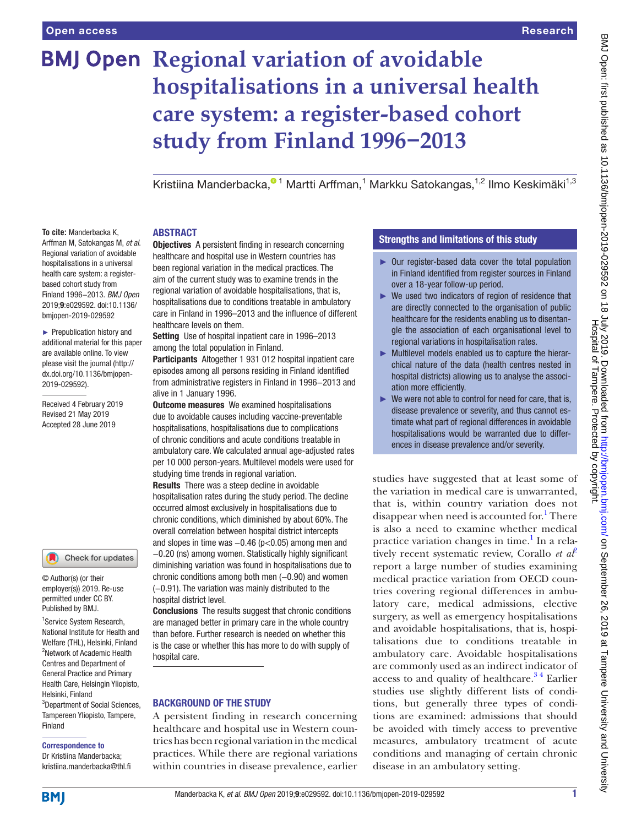**To cite:** Manderbacka K, Arffman M, Satokangas M, *et al*. Regional variation of avoidable hospitalisations in a universal health care system: a registerbased cohort study from Finland 1996−2013. *BMJ Open* 2019;9:e029592. doi:10.1136/ bmjopen-2019-029592 ► Prepublication history and additional material for this paper are available online. To view please visit the journal (http:// dx.doi.org/10.1136/bmjopen-

2019-029592).

Received 4 February 2019 Revised 21 May 2019 Accepted 28 June 2019

# **BMJ Open Regional variation of avoidable hospitalisations in a universal health care system: a register-based cohort study from Finland 1996−2013**

KristiinaManderbacka,<sup>01</sup> Martti Arffman,<sup>1</sup> Markku Satokangas,<sup>1,2</sup> Ilmo Keskimäki<sup>1,3</sup>

#### **ABSTRACT**

Objectives A persistent finding in research concerning healthcare and hospital use in Western countries has been regional variation in the medical practices. The aim of the current study was to examine trends in the regional variation of avoidable hospitalisations, that is, hospitalisations due to conditions treatable in ambulatory care in Finland in 1996–2013 and the influence of different healthcare levels on them.

Setting Use of hospital inpatient care in 1996–2013 among the total population in Finland.

Participants Altogether 1 931 012 hospital inpatient care episodes among all persons residing in Finland identified from administrative registers in Finland in 1996−2013 and alive in 1 January 1996.

**Outcome measures** We examined hospitalisations due to avoidable causes including vaccine-preventable hospitalisations, hospitalisations due to complications of chronic conditions and acute conditions treatable in ambulatory care. We calculated annual age-adjusted rates per 10 000 person-years. Multilevel models were used for studying time trends in regional variation.

Results There was a steep decline in avoidable hospitalisation rates during the study period. The decline occurred almost exclusively in hospitalisations due to chronic conditions, which diminished by about 60%. The overall correlation between hospital district intercepts and slopes in time was −0.46 (p<0.05) among men and −0.20 (ns) among women. Statistically highly significant diminishing variation was found in hospitalisations due to chronic conditions among both men  $(-0.90)$  and women

(−0.91). The variation was mainly distributed to the hospital district level.

**Conclusions** The results suggest that chronic conditions are managed better in primary care in the whole country than before. Further research is needed on whether this is the case or whether this has more to do with supply of hospital care.

## Background of the study

A persistent finding in research concerning healthcare and hospital use in Western countries has been regional variation in themedical practices. While there are regional variations within countries in disease prevalence, earlier

# Strengths and limitations of this study

- ► Our register-based data cover the total population in Finland identified from register sources in Finland over a 18-year follow-up period.
- ► We used two indicators of region of residence that are directly connected to the organisation of public healthcare for the residents enabling us to disentangle the association of each organisational level to regional variations in hospitalisation rates.
- ► Multilevel models enabled us to capture the hierarchical nature of the data (health centres nested in hospital districts) allowing us to analyse the association more efficiently.
- $\blacktriangleright$  We were not able to control for need for care, that is, disease prevalence or severity, and thus cannot estimate what part of regional differences in avoidable hospitalisations would be warranted due to differences in disease prevalence and/or severity.

studies have suggested that at least some of the variation in medical care is unwarranted, that is, within country variation does not disappear when need is accounted for.<sup>[1](#page-4-0)</sup> There is also a need to examine whether medical practice variation changes in time.<sup>[1](#page-4-0)</sup> In a relatively recent systematic review, Corallo *et al*[2](#page-4-1) report a large number of studies examining medical practice variation from OECD countries covering regional differences in ambulatory care, medical admissions, elective surgery, as well as emergency hospitalisations and avoidable hospitalisations, that is, hospitalisations due to conditions treatable in ambulatory care. Avoidable hospitalisations are commonly used as an indirect indicator of access to and quality of healthcare. $3<sup>4</sup>$  Earlier studies use slightly different lists of conditions, but generally three types of conditions are examined: admissions that should be avoided with timely access to preventive measures, ambulatory treatment of acute conditions and managing of certain chronic disease in an ambulatory setting.

1 Service System Research, Published by BMJ.

Check for updates

© Author(s) (or their employer(s)) 2019. Re-use permitted under CC BY.

National Institute for Health and Welfare (THL), Helsinki, Finland 2 Network of Academic Health Centres and Department of General Practice and Primary Health Care, Helsingin Yliopisto, Helsinki, Finland 3 Department of Social Sciences, Tampereen Yliopisto, Tampere, Finland

# Correspondence to

Dr Kristiina Manderbacka; kristiina.manderbacka@thl.fi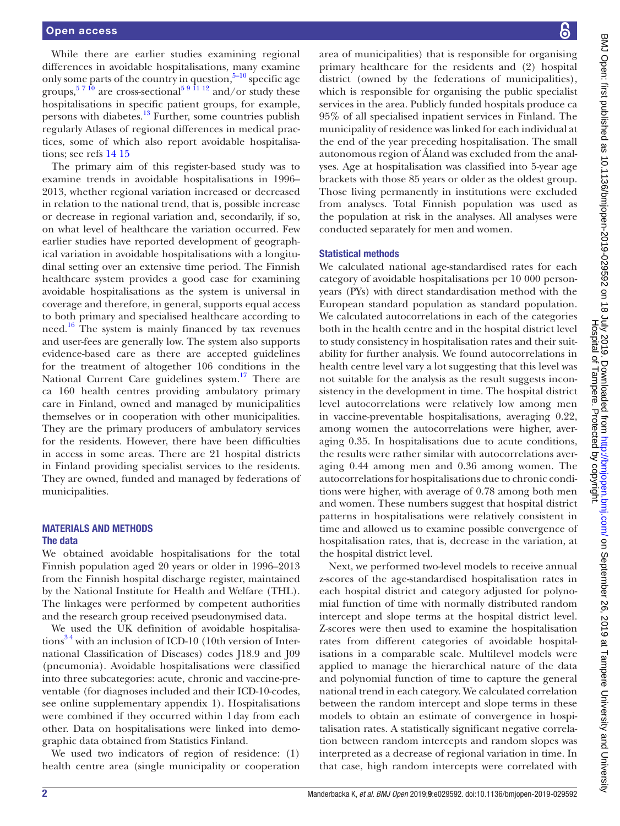While there are earlier studies examining regional differences in avoidable hospitalisations, many examine only some parts of the country in question,  $5-10$  specific age groups,  $5710$  are cross-sectional<sup>59 11</sup> 12 and/or study these hospitalisations in specific patient groups, for example, persons with diabetes.[13](#page-5-0) Further, some countries publish regularly Atlases of regional differences in medical practices, some of which also report avoidable hospitalisations; see refs [14 15](#page-5-1)

The primary aim of this register-based study was to examine trends in avoidable hospitalisations in 1996– 2013, whether regional variation increased or decreased in relation to the national trend, that is, possible increase or decrease in regional variation and, secondarily, if so, on what level of healthcare the variation occurred. Few earlier studies have reported development of geographical variation in avoidable hospitalisations with a longitudinal setting over an extensive time period. The Finnish healthcare system provides a good case for examining avoidable hospitalisations as the system is universal in coverage and therefore, in general, supports equal access to both primary and specialised healthcare according to need.<sup>16</sup> The system is mainly financed by tax revenues and user-fees are generally low. The system also supports evidence-based care as there are accepted guidelines for the treatment of altogether 106 conditions in the National Current Care guidelines system.<sup>[17](#page-5-3)</sup> There are ca 160 health centres providing ambulatory primary care in Finland, owned and managed by municipalities themselves or in cooperation with other municipalities. They are the primary producers of ambulatory services for the residents. However, there have been difficulties in access in some areas. There are 21 hospital districts in Finland providing specialist services to the residents. They are owned, funded and managed by federations of municipalities.

#### Materials and methods The data

We obtained avoidable hospitalisations for the total Finnish population aged 20 years or older in 1996–2013 from the Finnish hospital discharge register, maintained by the National Institute for Health and Welfare (THL). The linkages were performed by competent authorities and the research group received pseudonymised data.

We used the UK definition of avoidable hospitalisations<sup>34</sup> with an inclusion of ICD-10 (10th version of International Classification of Diseases) codes J18.9 and J09 (pneumonia). Avoidable hospitalisations were classified into three subcategories: acute, chronic and vaccine-preventable (for diagnoses included and their ICD-10-codes, see online [supplementary appendix 1](https://dx.doi.org/10.1136/bmjopen-2019-029592)). Hospitalisations were combined if they occurred within 1day from each other. Data on hospitalisations were linked into demographic data obtained from Statistics Finland.

We used two indicators of region of residence: (1) health centre area (single municipality or cooperation

area of municipalities) that is responsible for organising primary healthcare for the residents and (2) hospital district (owned by the federations of municipalities), which is responsible for organising the public specialist services in the area. Publicly funded hospitals produce ca 95% of all specialised inpatient services in Finland. The municipality of residence was linked for each individual at the end of the year preceding hospitalisation. The small autonomous region of Åland was excluded from the analyses. Age at hospitalisation was classified into 5-year age brackets with those 85 years or older as the oldest group. Those living permanently in institutions were excluded from analyses. Total Finnish population was used as the population at risk in the analyses. All analyses were conducted separately for men and women.

#### Statistical methods

We calculated national age-standardised rates for each category of avoidable hospitalisations per 10 000 personyears (PYs) with direct standardisation method with the European standard population as standard population. We calculated autocorrelations in each of the categories both in the health centre and in the hospital district level to study consistency in hospitalisation rates and their suitability for further analysis. We found autocorrelations in health centre level vary a lot suggesting that this level was not suitable for the analysis as the result suggests inconsistency in the development in time. The hospital district level autocorrelations were relatively low among men in vaccine-preventable hospitalisations, averaging 0.22, among women the autocorrelations were higher, averaging 0.35. In hospitalisations due to acute conditions, the results were rather similar with autocorrelations averaging 0.44 among men and 0.36 among women. The autocorrelations for hospitalisations due to chronic conditions were higher, with average of 0.78 among both men and women. These numbers suggest that hospital district patterns in hospitalisations were relatively consistent in time and allowed us to examine possible convergence of hospitalisation rates, that is, decrease in the variation, at the hospital district level.

Next, we performed two-level models to receive annual z-scores of the age-standardised hospitalisation rates in each hospital district and category adjusted for polynomial function of time with normally distributed random intercept and slope terms at the hospital district level. Z-scores were then used to examine the hospitalisation rates from different categories of avoidable hospitalisations in a comparable scale. Multilevel models were applied to manage the hierarchical nature of the data and polynomial function of time to capture the general national trend in each category. We calculated correlation between the random intercept and slope terms in these models to obtain an estimate of convergence in hospitalisation rates. A statistically significant negative correlation between random intercepts and random slopes was interpreted as a decrease of regional variation in time. In that case, high random intercepts were correlated with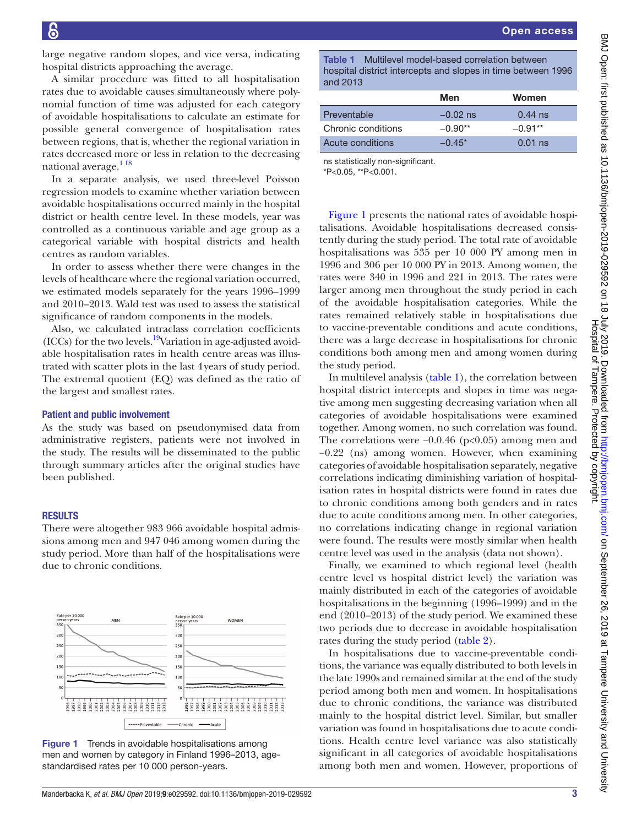Open access

large negative random slopes, and vice versa, indicating hospital districts approaching the average.

A similar procedure was fitted to all hospitalisation rates due to avoidable causes simultaneously where polynomial function of time was adjusted for each category of avoidable hospitalisations to calculate an estimate for possible general convergence of hospitalisation rates between regions, that is, whether the regional variation in rates decreased more or less in relation to the decreasing national average.<sup>118</sup>

In a separate analysis, we used three-level Poisson regression models to examine whether variation between avoidable hospitalisations occurred mainly in the hospital district or health centre level. In these models, year was controlled as a continuous variable and age group as a categorical variable with hospital districts and health centres as random variables.

In order to assess whether there were changes in the levels of healthcare where the regional variation occurred, we estimated models separately for the years 1996–1999 and 2010–2013. Wald test was used to assess the statistical significance of random components in the models.

Also, we calculated intraclass correlation coefficients (ICCs) for the two levels.<sup>19</sup>Variation in age-adjusted avoidable hospitalisation rates in health centre areas was illustrated with scatter plots in the last 4years of study period. The extremal quotient (EQ) was defined as the ratio of the largest and smallest rates.

## Patient and public involvement

As the study was based on pseudonymised data from administrative registers, patients were not involved in the study. The results will be disseminated to the public through summary articles after the original studies have been published.

#### **RESULTS**

There were altogether 983 966 avoidable hospital admissions among men and 947 046 among women during the study period. More than half of the hospitalisations were due to chronic conditions.



<span id="page-2-0"></span>Figure 1 Trends in avoidable hospitalisations among men and women by category in Finland 1996–2013, agestandardised rates per 10 000 person-years.

<span id="page-2-1"></span>Table 1 Multilevel model-based correlation between hospital district intercepts and slopes in time between 1996 and 2013

|                    | Men        | Women      |
|--------------------|------------|------------|
| Preventable        | $-0.02$ ns | $0.44$ ns  |
| Chronic conditions | $-0.90**$  | $-0.91**$  |
| Acute conditions   | $-0.45*$   | $0.01$ ns. |

ns statistically non-significant.

\*P<0.05, \*\*P<0.001.

[Figure](#page-2-0) 1 presents the national rates of avoidable hospitalisations. Avoidable hospitalisations decreased consistently during the study period. The total rate of avoidable hospitalisations was 535 per 10 000 PY among men in 1996 and 306 per 10 000 PY in 2013. Among women, the rates were 340 in 1996 and 221 in 2013. The rates were larger among men throughout the study period in each of the avoidable hospitalisation categories. While the rates remained relatively stable in hospitalisations due to vaccine-preventable conditions and acute conditions, there was a large decrease in hospitalisations for chronic conditions both among men and among women during the study period.

In multilevel analysis ([table](#page-2-1) 1), the correlation between hospital district intercepts and slopes in time was negative among men suggesting decreasing variation when all categories of avoidable hospitalisations were examined together. Among women, no such correlation was found. The correlations were −0.0.46 (p<0.05) among men and −0.22 (ns) among women. However, when examining categories of avoidable hospitalisation separately, negative correlations indicating diminishing variation of hospitalisation rates in hospital districts were found in rates due to chronic conditions among both genders and in rates due to acute conditions among men. In other categories, no correlations indicating change in regional variation were found. The results were mostly similar when health centre level was used in the analysis (data not shown).

Finally, we examined to which regional level (health centre level vs hospital district level) the variation was mainly distributed in each of the categories of avoidable hospitalisations in the beginning (1996–1999) and in the end (2010–2013) of the study period. We examined these two periods due to decrease in avoidable hospitalisation rates during the study period [\(table](#page-3-0) 2).

In hospitalisations due to vaccine-preventable conditions, the variance was equally distributed to both levels in the late 1990s and remained similar at the end of the study period among both men and women. In hospitalisations due to chronic conditions, the variance was distributed mainly to the hospital district level. Similar, but smaller variation was found in hospitalisations due to acute conditions. Health centre level variance was also statistically significant in all categories of avoidable hospitalisations among both men and women. However, proportions of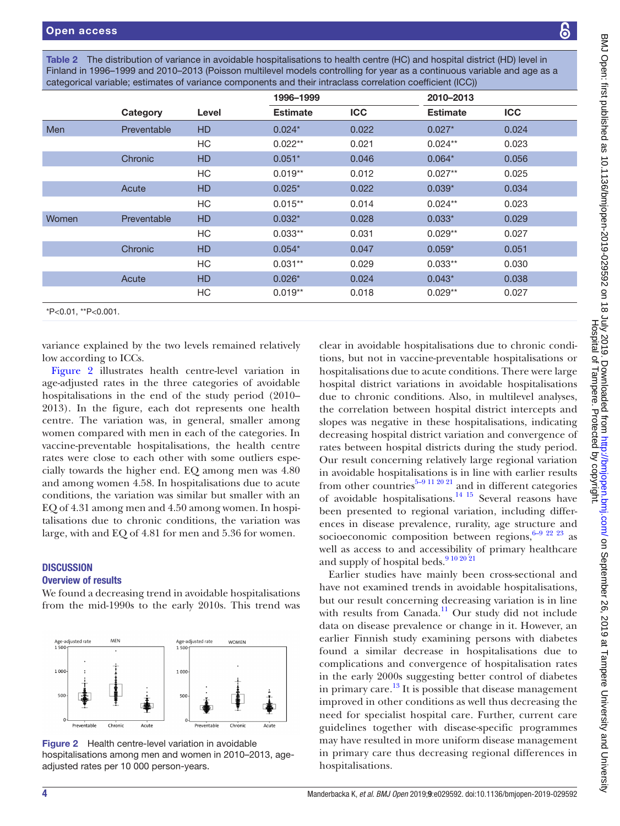<span id="page-3-0"></span>Table 2 The distribution of variance in avoidable hospitalisations to health centre (HC) and hospital district (HD) level in Finland in 1996–1999 and 2010–2013 (Poisson multilevel models controlling for year as a continuous variable and age as a categorical variable; estimates of variance components and their intraclass correlation coefficient (ICC))

|                     |             |           | 1996-1999       |            | 2010-2013       |            |  |  |
|---------------------|-------------|-----------|-----------------|------------|-----------------|------------|--|--|
|                     | Category    | Level     | <b>Estimate</b> | <b>ICC</b> | <b>Estimate</b> | <b>ICC</b> |  |  |
| <b>Men</b>          | Preventable | <b>HD</b> | $0.024*$        | 0.022      | $0.027*$        | 0.024      |  |  |
|                     |             | HC        | $0.022**$       | 0.021      | $0.024**$       | 0.023      |  |  |
|                     | Chronic     | <b>HD</b> | $0.051*$        | 0.046      | $0.064*$        | 0.056      |  |  |
|                     |             | HC        | $0.019**$       | 0.012      | $0.027**$       | 0.025      |  |  |
|                     | Acute       | <b>HD</b> | $0.025*$        | 0.022      | $0.039*$        | 0.034      |  |  |
|                     |             | HC        | $0.015**$       | 0.014      | $0.024**$       | 0.023      |  |  |
| Women               | Preventable | <b>HD</b> | $0.032*$        | 0.028      | $0.033*$        | 0.029      |  |  |
|                     |             | HC        | $0.033**$       | 0.031      | $0.029**$       | 0.027      |  |  |
|                     | Chronic     | <b>HD</b> | $0.054*$        | 0.047      | $0.059*$        | 0.051      |  |  |
|                     |             | HC        | $0.031**$       | 0.029      | $0.033**$       | 0.030      |  |  |
|                     | Acute       | <b>HD</b> | $0.026*$        | 0.024      | $0.043*$        | 0.038      |  |  |
|                     |             | HC        | $0.019**$       | 0.018      | $0.029**$       | 0.027      |  |  |
| *P<0.01, **P<0.001. |             |           |                 |            |                 |            |  |  |

variance explained by the two levels remained relatively low according to ICCs.

[Figure](#page-3-1) 2 illustrates health centre-level variation in age-adjusted rates in the three categories of avoidable hospitalisations in the end of the study period (2010– 2013). In the figure, each dot represents one health centre. The variation was, in general, smaller among women compared with men in each of the categories. In vaccine-preventable hospitalisations, the health centre rates were close to each other with some outliers especially towards the higher end. EQ among men was 4.80 and among women 4.58. In hospitalisations due to acute conditions, the variation was similar but smaller with an EQ of 4.31 among men and 4.50 among women. In hospitalisations due to chronic conditions, the variation was large, with and EQ of 4.81 for men and 5.36 for women.

# **DISCUSSION**

## Overview of results

We found a decreasing trend in avoidable hospitalisations from the mid-1990s to the early 2010s. This trend was



<span id="page-3-1"></span>Figure 2 Health centre-level variation in avoidable hospitalisations among men and women in 2010–2013, ageadjusted rates per 10 000 person-years.

clear in avoidable hospitalisations due to chronic conditions, but not in vaccine-preventable hospitalisations or hospitalisations due to acute conditions. There were large hospital district variations in avoidable hospitalisations due to chronic conditions. Also, in multilevel analyses, the correlation between hospital district intercepts and slopes was negative in these hospitalisations, indicating decreasing hospital district variation and convergence of rates between hospital districts during the study period. Our result concerning relatively large regional variation in avoidable hospitalisations is in line with earlier results from other countries<sup>[5–9 11 20 21](#page-4-3)</sup> and in different categories of avoidable hospitalisations.[14 15](#page-5-1) Several reasons have been presented to regional variation, including differences in disease prevalence, rurality, age structure and socioeconomic composition between regions,  $6-9$   $22$   $23$  as well as access to and accessibility of primary healthcare and supply of hospital beds.<sup>[9 10 20 21](#page-4-5)</sup>

Earlier studies have mainly been cross-sectional and have not examined trends in avoidable hospitalisations, but our result concerning decreasing variation is in line with results from Canada.<sup>11</sup> Our study did not include data on disease prevalence or change in it. However, an earlier Finnish study examining persons with diabetes found a similar decrease in hospitalisations due to complications and convergence of hospitalisation rates in the early 2000s suggesting better control of diabetes in primary care.<sup>[13](#page-5-0)</sup> It is possible that disease management improved in other conditions as well thus decreasing the need for specialist hospital care. Further, current care guidelines together with disease-specific programmes may have resulted in more uniform disease management in primary care thus decreasing regional differences in hospitalisations.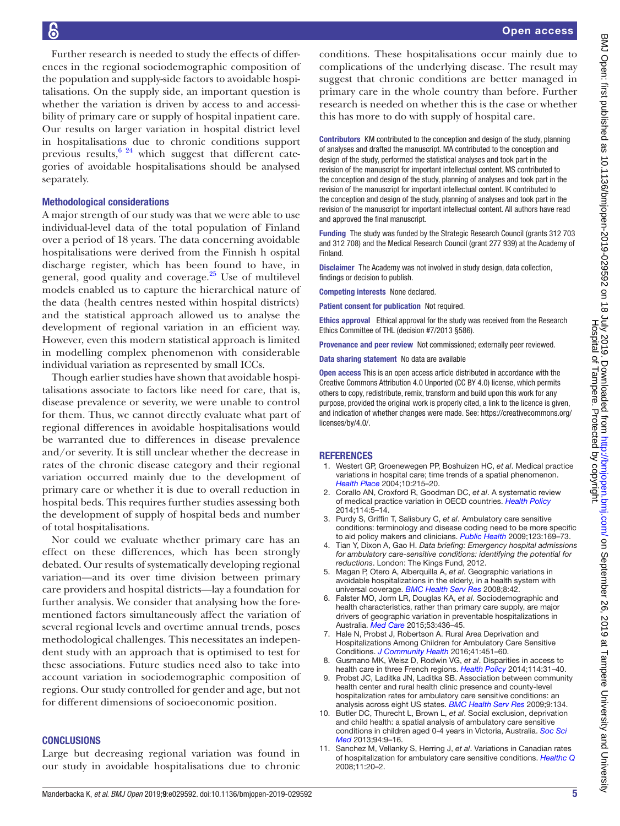Further research is needed to study the effects of differences in the regional sociodemographic composition of the population and supply-side factors to avoidable hospitalisations. On the supply side, an important question is whether the variation is driven by access to and accessibility of primary care or supply of hospital inpatient care. Our results on larger variation in hospital district level in hospitalisations due to chronic conditions support previous results,  $6^{24}$  which suggest that different categories of avoidable hospitalisations should be analysed separately.

#### Methodological considerations

A major strength of our study was that we were able to use individual-level data of the total population of Finland over a period of 18 years. The data concerning avoidable hospitalisations were derived from the Finnish h ospital discharge register, which has been found to have, in general, good quality and coverage. $25$  Use of multilevel models enabled us to capture the hierarchical nature of the data (health centres nested within hospital districts) and the statistical approach allowed us to analyse the development of regional variation in an efficient way. However, even this modern statistical approach is limited in modelling complex phenomenon with considerable individual variation as represented by small ICCs.

Though earlier studies have shown that avoidable hospitalisations associate to factors like need for care, that is, disease prevalence or severity, we were unable to control for them. Thus, we cannot directly evaluate what part of regional differences in avoidable hospitalisations would be warranted due to differences in disease prevalence and/or severity. It is still unclear whether the decrease in rates of the chronic disease category and their regional variation occurred mainly due to the development of primary care or whether it is due to overall reduction in hospital beds. This requires further studies assessing both the development of supply of hospital beds and number of total hospitalisations.

Nor could we evaluate whether primary care has an effect on these differences, which has been strongly debated. Our results of systematically developing regional variation—and its over time division between primary care providers and hospital districts—lay a foundation for further analysis. We consider that analysing how the forementioned factors simultaneously affect the variation of several regional levels and overtime annual trends, poses methodological challenges. This necessitates an independent study with an approach that is optimised to test for these associations. Future studies need also to take into account variation in sociodemographic composition of regions. Our study controlled for gender and age, but not for different dimensions of socioeconomic position.

#### **CONCLUSIONS**

Large but decreasing regional variation was found in our study in avoidable hospitalisations due to chronic conditions. These hospitalisations occur mainly due to complications of the underlying disease. The result may suggest that chronic conditions are better managed in primary care in the whole country than before. Further research is needed on whether this is the case or whether this has more to do with supply of hospital care.

Contributors KM contributed to the conception and design of the study, planning of analyses and drafted the manuscript. MA contributed to the conception and design of the study, performed the statistical analyses and took part in the revision of the manuscript for important intellectual content. MS contributed to the conception and design of the study, planning of analyses and took part in the revision of the manuscript for important intellectual content. IK contributed to the conception and design of the study, planning of analyses and took part in the revision of the manuscript for important intellectual content. All authors have read and approved the final manuscript.

Funding The study was funded by the Strategic Research Council (grants 312 703 and 312 708) and the Medical Research Council (grant 277 939) at the Academy of **Finland** 

Disclaimer The Academy was not involved in study design, data collection, findings or decision to publish.

Competing interests None declared.

Patient consent for publication Not required.

Ethics approval Ethical approval for the study was received from the Research Ethics Committee of THL (decision #7/2013 §586).

Provenance and peer review Not commissioned; externally peer reviewed.

Data sharing statement No data are available

Open access This is an open access article distributed in accordance with the Creative Commons Attribution 4.0 Unported (CC BY 4.0) license, which permits others to copy, redistribute, remix, transform and build upon this work for any purpose, provided the original work is properly cited, a link to the licence is given, and indication of whether changes were made. See: [https://creativecommons.org/](https://creativecommons.org/licenses/by/4.0/) [licenses/by/4.0/](https://creativecommons.org/licenses/by/4.0/).

#### **REFERENCES**

- <span id="page-4-0"></span>1. Westert GP, Groenewegen PP, Boshuizen HC, *et al*. Medical practice variations in hospital care; time trends of a spatial phenomenon. *[Health Place](http://dx.doi.org/10.1016/j.healthplace.2003.07.002)* 2004;10:215–20.
- <span id="page-4-1"></span>2. Corallo AN, Croxford R, Goodman DC, *et al*. A systematic review of medical practice variation in OECD countries. *[Health Policy](http://dx.doi.org/10.1016/j.healthpol.2013.08.002)* 2014;114:5–14.
- <span id="page-4-2"></span>3. Purdy S, Griffin T, Salisbury C, *et al*. Ambulatory care sensitive conditions: terminology and disease coding need to be more specific to aid policy makers and clinicians. *[Public Health](http://dx.doi.org/10.1016/j.puhe.2008.11.001)* 2009;123:169–73.
- 4. Tian Y, Dixon A, Gao H. *Data briefing: Emergency hospital admissions for ambulatory care-sensitive conditions: identifying the potential for reductions*. London: The Kings Fund, 2012.
- <span id="page-4-3"></span>5. Magan P, Otero A, Alberquilla A, *et al*. Geographic variations in avoidable hospitalizations in the elderly, in a health system with universal coverage. *[BMC Health Serv Res](http://dx.doi.org/10.1186/1472-6963-8-42)* 2008;8:42.
- <span id="page-4-4"></span>6. Falster MO, Jorm LR, Douglas KA, *et al*. Sociodemographic and health characteristics, rather than primary care supply, are major drivers of geographic variation in preventable hospitalizations in Australia. *[Med Care](http://dx.doi.org/10.1097/MLR.0000000000000342)* 2015;53:436–45.
- 7. Hale N, Probst J, Robertson A. Rural Area Deprivation and Hospitalizations Among Children for Ambulatory Care Sensitive Conditions. *[J Community Health](http://dx.doi.org/10.1007/s10900-015-0113-2)* 2016;41:451–60.
- 8. Gusmano MK, Weisz D, Rodwin VG, *et al*. Disparities in access to health care in three French regions. *[Health Policy](http://dx.doi.org/10.1016/j.healthpol.2013.07.011)* 2014;114:31–40.
- <span id="page-4-5"></span>9. Probst JC, Laditka JN, Laditka SB. Association between community health center and rural health clinic presence and county-level hospitalization rates for ambulatory care sensitive conditions: an analysis across eight US states. *[BMC Health Serv Res](http://dx.doi.org/10.1186/1472-6963-9-134)* 2009;9:134.
- 10. Butler DC, Thurecht L, Brown L, *et al*. Social exclusion, deprivation and child health: a spatial analysis of ambulatory care sensitive conditions in children aged 0-4 years in Victoria, Australia. *[Soc Sci](http://dx.doi.org/10.1016/j.socscimed.2013.06.029)  [Med](http://dx.doi.org/10.1016/j.socscimed.2013.06.029)* 2013;94:9–16.
- <span id="page-4-6"></span>11. Sanchez M, Vellanky S, Herring J, *et al*. Variations in Canadian rates of hospitalization for ambulatory care sensitive conditions. *[Healthc Q](http://dx.doi.org/10.12927/hcq.2008.20087)* 2008;11:20–2.